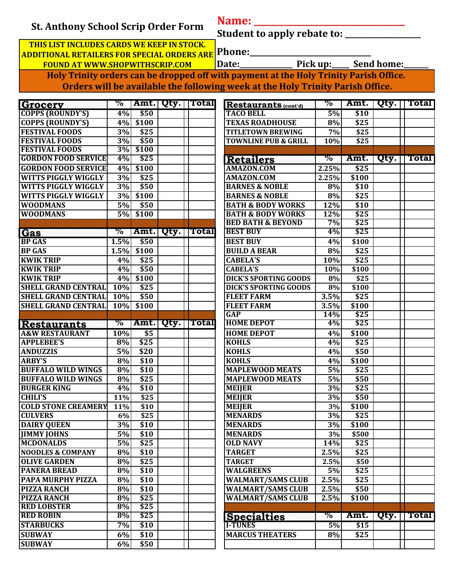| <b>St. Anthony School Scrip Order Form</b>         |                  |                  |                     | Name:                                                                                  |           |                  |      |         |
|----------------------------------------------------|------------------|------------------|---------------------|----------------------------------------------------------------------------------------|-----------|------------------|------|---------|
|                                                    |                  |                  |                     | Student to apply rebate to: ___                                                        |           |                  |      |         |
| THIS LIST INCLUDES CARDS WE KEEP IN STOCK.         |                  |                  |                     |                                                                                        |           |                  |      |         |
| <b>ADDITIONAL RETAILERS FOR SPECIAL ORDERS ARE</b> |                  |                  |                     | Phone:                                                                                 |           |                  |      |         |
| <b>FOUND AT WWW.SHOPWITHSCRIP.COM</b>              |                  |                  |                     |                                                                                        |           |                  |      |         |
|                                                    |                  |                  |                     | Holy Trinity orders can be dropped off with payment at the Holy Trinity Parish Office. |           |                  |      |         |
|                                                    |                  |                  |                     | Orders will be available the following week at the Holy Trinity Parish Office.         |           |                  |      |         |
|                                                    |                  |                  |                     |                                                                                        |           |                  |      |         |
| Grocery                                            | %                |                  | Amt.   Qty.   Total | Restaurants (cont'd)                                                                   | %         | Amt.             | Qty. | ⊤Total  |
| <b>COPPS (ROUNDY'S)</b>                            | 4%               | \$50             |                     | <b>TACO BELL</b>                                                                       | 5%        | \$10             |      |         |
| <b>COPPS (ROUNDY'S)</b>                            | 4%               | \$100            |                     | <b>TEXAS ROADHOUSE</b>                                                                 | 8%        | $\overline{$25}$ |      |         |
| <b>FESTIVAL FOODS</b>                              | 3%               | \$25             |                     | <b>TITLETOWN BREWING</b>                                                               | 7%        | \$25             |      |         |
| <b>FESTIVAL FOODS</b>                              | 3%               | \$50             |                     | <b>TOWNLINE PUB &amp; GRILL</b>                                                        | 10%       | \$25             |      |         |
| <b>FESTIVAL FOODS</b>                              | $3\%$            | \$100            |                     |                                                                                        |           |                  |      |         |
| <b>GORDON FOOD SERVICE</b>                         | $4\%$            | \$25             |                     | <b>Retailers</b>                                                                       | ℅         | Amt.             | Qty. | Total   |
| <b>GORDON FOOD SERVICE</b>                         | 4%               | \$100            |                     | <b>AMAZON.COM</b>                                                                      | 2.25%     | \$25             |      |         |
| <b>WITTS PIGGLY WIGGLY</b>                         | 3%               | $\overline{$25}$ |                     | <b>AMAZON.COM</b>                                                                      | 2.25%     | \$100            |      |         |
| <b>WITTS PIGGLY WIGGLY</b>                         | $\overline{3\%}$ | \$50             |                     | <b>BARNES &amp; NOBLE</b>                                                              | 8%        | \$10             |      |         |
| <b>WITTS PIGGLY WIGGLY</b>                         |                  | 3% \$100         |                     | <b>BARNES &amp; NOBLE</b>                                                              | 8%        | $\overline{$25}$ |      |         |
| <b>WOODMANS</b>                                    | 5%               | \$50             |                     | <b>BATH &amp; BODY WORKS</b>                                                           | 12%       | $\overline{$10}$ |      |         |
| <b>WOODMANS</b>                                    |                  | 5% \$100         |                     | <b>BATH &amp; BODY WORKS</b><br><b>BED BATH &amp; BEYOND</b>                           | 12%<br>7% | \$25<br>\$25     |      |         |
|                                                    | %                |                  | Amt.   Qty.   Total | <b>BEST BUY</b>                                                                        | 4%        | \$25             |      |         |
| Gas<br><b>BP GAS</b>                               | 1.5%             | \$50             |                     | <b>BEST BUY</b>                                                                        | 4%        | \$100            |      |         |
| <b>BP GAS</b>                                      | 1.5%             | \$100            |                     | <b>BUILD A BEAR</b>                                                                    | 8%        | $\overline{$25}$ |      |         |
| <b>KWIK TRIP</b>                                   | 4%               | \$25             |                     | <b>CABELA'S</b>                                                                        | 10%       | $\overline{$25}$ |      |         |
| <b>KWIK TRIP</b>                                   | 4%               | \$50             |                     | <b>CABELA'S</b>                                                                        | 10%       | \$100            |      |         |
| <b>KWIK TRIP</b>                                   |                  | 4% \$100         |                     | <b>DICK'S SPORTING GOODS</b>                                                           | 8%        | \$25             |      |         |
| <b>SHELL GRAND CENTRAL</b>                         | 10%              | $\overline{$25}$ |                     | <b>DICK'S SPORTING GOODS</b>                                                           | 8%        | \$100            |      |         |
| <b>SHELL GRAND CENTRAL</b>                         | 10%              | \$50             |                     | <b>FLEET FARM</b>                                                                      | 3.5%      | \$25             |      |         |
| <b>SHELL GRAND CENTRAL</b>                         | 10%              | \$100            |                     | <b>FLEET FARM</b>                                                                      | 3.5%      | \$100            |      |         |
|                                                    |                  |                  |                     | <b>GAP</b>                                                                             | 14%       | \$25             |      |         |
| <b>Restaurants</b>                                 | %                |                  | Amt.   Qty.   Total | <b>HOME DEPOT</b>                                                                      | 4%        | \$25             |      |         |
| <b>A&amp;W RESTAURANT</b>                          | 10%              | \$5              |                     | <b>HOME DEPOT</b>                                                                      | 4%        | \$100            |      |         |
| <b>APPLEBEE'S</b>                                  | $8\%$            | \$25             |                     | <b>KOHLS</b>                                                                           | 4%        | \$25             |      |         |
| <b>ANDUZZIS</b>                                    | 5%               | \$20             |                     | <b>KOHLS</b>                                                                           | 4%        | \$50             |      |         |
| <b>ARBY'S</b>                                      | 8%               | \$10             |                     | <b>KOHLS</b>                                                                           | 4%        | \$100            |      |         |
| <b>BUFFALO WILD WINGS</b>                          | 8%               | \$10             |                     | <b>MAPLEWOOD MEATS</b>                                                                 | 5%        | \$25             |      |         |
| <b>BUFFALO WILD WINGS</b>                          | 8%               | \$25             |                     | <b>MAPLEWOOD MEATS</b>                                                                 | 5%        | \$50             |      |         |
| <b>BURGER KING</b>                                 | 4%               | \$10             |                     | <b>MEIJER</b>                                                                          | 3%        | \$25             |      |         |
| <b>CHILI'S</b><br><b>COLD STONE CREAMERY</b>       | 11%<br>11%       | \$25<br>\$10     |                     | <b>MEIJER</b>                                                                          | 3%<br>3%  | \$50<br>\$100    |      |         |
| <b>CULVERS</b>                                     | 6%               | \$25             |                     | <b>MEIJER</b><br><b>MENARDS</b>                                                        | 3%        | $\overline{$25}$ |      |         |
| <b>DAIRY QUEEN</b>                                 | 3%               | \$10             |                     | <b>MENARDS</b>                                                                         | 3%        | \$100            |      |         |
| <b>JIMMY JOHNS</b>                                 | 5%               | $\overline{$10}$ |                     | <b>MENARDS</b>                                                                         | 3%        | \$500            |      |         |
| <b>MCDONALDS</b>                                   | 5%               | \$25             |                     | <b>OLD NAVY</b>                                                                        | 14%       | $\overline{$25}$ |      |         |
| <b>NOODLES &amp; COMPANY</b>                       | 8%               | \$10             |                     | <b>TARGET</b>                                                                          | 2.5%      | $\overline{$25}$ |      |         |
| <b>OLIVE GARDEN</b>                                | 8%               | $\overline{$25}$ |                     | <b>TARGET</b>                                                                          | 2.5%      | \$50             |      |         |
| <b>PANERA BREAD</b>                                | 8%               | \$10             |                     | <b>WALGREENS</b>                                                                       | 5%        | \$25             |      |         |
| PAPA MURPHY PIZZA                                  | 8%               | \$10             |                     | <b>WALMART/SAMS CLUB</b>                                                               | 2.5%      | $\overline{$25}$ |      |         |
| <b>PIZZA RANCH</b>                                 | 8%               | \$10             |                     | <b>WALMART/SAMS CLUB</b>                                                               | 2.5%      | \$50             |      |         |
| <b>PIZZA RANCH</b>                                 | 8%               | \$25             |                     | <b>WALMART/SAMS CLUB</b>                                                               | 2.5%      | \$100            |      |         |
| <b>RED LOBSTER</b>                                 | 8%               | \$25             |                     |                                                                                        |           |                  |      |         |
| <b>RED ROBIN</b>                                   | 8%               | \$25             |                     | <b>Specialties</b>                                                                     | %         | Amt.             | Qty. | ∏ Total |
| <b>STARBUCKS</b>                                   | 7%               | \$10             |                     | <b>I-TUNES</b>                                                                         | 5%        | \$15             |      |         |
| <b>SUBWAY</b>                                      | 6%               | \$10             |                     | <b>MARCUS THEATERS</b>                                                                 | 8%        | \$25             |      |         |
| <b>SUBWAY</b>                                      | 6%               | \$50             |                     |                                                                                        |           |                  |      |         |